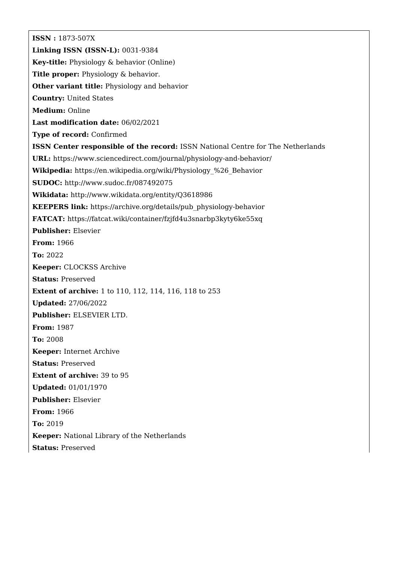**ISSN :** 1873-507X **Linking ISSN (ISSN-L):** 0031-9384 **Key-title:** Physiology & behavior (Online) **Title proper:** Physiology & behavior. **Other variant title:** Physiology and behavior **Country:** United States **Medium:** Online **Last modification date:** 06/02/2021 **Type of record:** Confirmed **ISSN Center responsible of the record:** ISSN National Centre for The Netherlands **URL:** <https://www.sciencedirect.com/journal/physiology-and-behavior/> **Wikipedia:** [https://en.wikipedia.org/wiki/Physiology\\_%26\\_Behavior](https://en.wikipedia.org/wiki/Physiology_%26_Behavior) **SUDOC:** <http://www.sudoc.fr/087492075> **Wikidata:** <http://www.wikidata.org/entity/Q3618986> **KEEPERS link:** [https://archive.org/details/pub\\_physiology-behavior](https://archive.org/details/pub_physiology-behavior) **FATCAT:** <https://fatcat.wiki/container/fzjfd4u3snarbp3kyty6ke55xq> **Publisher:** Elsevier **From:** 1966 **To:** 2022 **Keeper:** CLOCKSS Archive **Status:** Preserved **Extent of archive:** 1 to 110, 112, 114, 116, 118 to 253 **Updated:** 27/06/2022 **Publisher:** ELSEVIER LTD. **From:** 1987 **To:** 2008 **Keeper:** Internet Archive **Status:** Preserved **Extent of archive:** 39 to 95 **Updated:** 01/01/1970 **Publisher:** Elsevier **From:** 1966 **To:** 2019 **Keeper:** National Library of the Netherlands **Status:** Preserved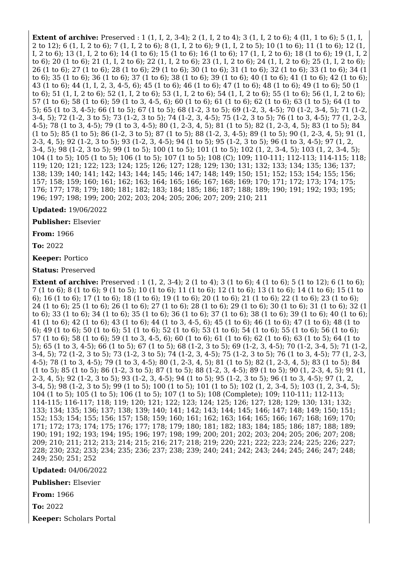**Extent of archive:** Preserved : 1 (1, I, 2, 3-4); 2 (1, I, 2 to 4); 3 (1, I, 2 to 6); 4 (11, 1 to 6); 5 (1, I, 2 to 12); 6 (1, I, 2 to 6); 7 (1, I, 2 to 6); 8 (1, I, 2 to 6); 9 (1, I, 2 to 5); 10 (1 to 6); 11 (1 to 6); 12 (1, I, 2 to 6); 13 (1, I, 2 to 6); 14 (1 to 6); 15 (1 to 6); 16 (1 to 6); 17 (1, I, 2 to 6); 18 (1 to 6); 19 (1, I, 2 to 6); 20 (1 to 6); 21 (1, I, 2 to 6); 22 (1, I, 2 to 6); 23 (1, I, 2 to 6); 24 (1, I, 2 to 6); 25 (1, I, 2 to 6); 26 (1 to 6); 27 (1 to 6); 28 (1 to 6); 29 (1 to 6); 30 (1 to 6); 31 (1 to 6); 32 (1 to 6); 33 (1 to 6); 34 (1 to 6); 35 (1 to 6); 36 (1 to 6); 37 (1 to 6); 38 (1 to 6); 39 (1 to 6); 40 (1 to 6); 41 (1 to 6); 42 (1 to 6); 43 (1 to 6); 44 (1, I, 2, 3, 4-5, 6); 45 (1 to 6); 46 (1 to 6); 47 (1 to 6); 48 (1 to 6); 49 (1 to 6); 50 (1 to 6); 51 (1, I, 2 to 6); 52 (1, I, 2 to 6); 53 (1, I, 2 to 6); 54 (1, I, 2 to 6); 55 (1 to 6); 56 (1, I, 2 to 6); 57 (1 to 6); 58 (1 to 6); 59 (1 to 3, 4-5, 6); 60 (1 to 6); 61 (1 to 6); 62 (1 to 6); 63 (1 to 5); 64 (1 to 5); 65 (1 to 3, 4-5); 66 (1 to 5); 67 (1 to 5); 68 (1-2, 3 to 5); 69 (1-2, 3, 4-5); 70 (1-2, 3-4, 5); 71 (1-2, 3-4, 5); 72 (1-2, 3 to 5); 73 (1-2, 3 to 5); 74 (1-2, 3, 4-5); 75 (1-2, 3 to 5); 76 (1 to 3, 4-5); 77 (1, 2-3, 4-5); 78 (1 to 3, 4-5); 79 (1 to 3, 4-5); 80 (1, 2-3, 4, 5); 81 (1 to 5); 82 (1, 2-3, 4, 5); 83 (1 to 5); 84 (1 to 5); 85 (1 to 5); 86 (1-2, 3 to 5); 87 (1 to 5); 88 (1-2, 3, 4-5); 89 (1 to 5); 90 (1, 2-3, 4, 5); 91 (1, 2-3, 4, 5); 92 (1-2, 3 to 5); 93 (1-2, 3, 4-5); 94 (1 to 5); 95 (1-2, 3 to 5); 96 (1 to 3, 4-5); 97 (1, 2, 3-4, 5); 98 (1-2, 3 to 5); 99 (1 to 5); 100 (1 to 5); 101 (1 to 5); 102 (1, 2, 3-4, 5); 103 (1, 2, 3-4, 5); 104 (1 to 5); 105 (1 to 5); 106 (1 to 5); 107 (1 to 5); 108 (C); 109; 110-111; 112-113; 114-115; 118; 119; 120; 121; 122; 123; 124; 125; 126; 127; 128; 129; 130; 131; 132; 133; 134; 135; 136; 137; 138; 139; 140; 141; 142; 143; 144; 145; 146; 147; 148; 149; 150; 151; 152; 153; 154; 155; 156; 157; 158; 159; 160; 161; 162; 163; 164; 165; 166; 167; 168; 169; 170; 171; 172; 173; 174; 175; 176; 177; 178; 179; 180; 181; 182; 183; 184; 185; 186; 187; 188; 189; 190; 191; 192; 193; 195; 196; 197; 198; 199; 200; 202; 203; 204; 205; 206; 207; 209; 210; 211

**Updated:** 19/06/2022

**Publisher:** Elsevier

**From:** 1966

**To:** 2022

**Keeper:** Portico

**Status:** Preserved

**Extent of archive:** Preserved : 1 (1, 2, 3-4); 2 (1 to 4); 3 (1 to 6); 4 (1 to 6); 5 (1 to 12); 6 (1 to 6); 7 (1 to 6); 8 (1 to 6); 9 (1 to 5); 10 (1 to 6); 11 (1 to 6); 12 (1 to 6); 13 (1 to 6); 14 (1 to 6); 15 (1 to 6); 16 (1 to 6); 17 (1 to 6); 18 (1 to 6); 19 (1 to 6); 20 (1 to 6); 21 (1 to 6); 22 (1 to 6); 23 (1 to 6); 24 (1 to 6); 25 (1 to 6); 26 (1 to 6); 27 (1 to 6); 28 (1 to 6); 29 (1 to 6); 30 (1 to 6); 31 (1 to 6); 32 (1 to 6); 33 (1 to 6); 34 (1 to 6); 35 (1 to 6); 36 (1 to 6); 37 (1 to 6); 38 (1 to 6); 39 (1 to 6); 40 (1 to 6); 41 (1 to 6); 42 (1 to 6); 43 (1 to 6); 44 (1 to 3, 4-5, 6); 45 (1 to 6); 46 (1 to 6); 47 (1 to 6); 48 (1 to 6); 49 (1 to 6); 50 (1 to 6); 51 (1 to 6); 52 (1 to 6); 53 (1 to 6); 54 (1 to 6); 55 (1 to 6); 56 (1 to 6); 57 (1 to 6); 58 (1 to 6); 59 (1 to 3, 4-5, 6); 60 (1 to 6); 61 (1 to 6); 62 (1 to 6); 63 (1 to 5); 64 (1 to 5); 65 (1 to 3, 4-5); 66 (1 to 5); 67 (1 to 5); 68 (1-2, 3 to 5); 69 (1-2, 3, 4-5); 70 (1-2, 3-4, 5); 71 (1-2, 3-4, 5); 72 (1-2, 3 to 5); 73 (1-2, 3 to 5); 74 (1-2, 3, 4-5); 75 (1-2, 3 to 5); 76 (1 to 3, 4-5); 77 (1, 2-3, 4-5); 78 (1 to 3, 4-5); 79 (1 to 3, 4-5); 80 (1, 2-3, 4, 5); 81 (1 to 5); 82 (1, 2-3, 4, 5); 83 (1 to 5); 84 (1 to 5); 85 (1 to 5); 86 (1-2, 3 to 5); 87 (1 to 5); 88 (1-2, 3, 4-5); 89 (1 to 5); 90 (1, 2-3, 4, 5); 91 (1, 2-3, 4, 5); 92 (1-2, 3 to 5); 93 (1-2, 3, 4-5); 94 (1 to 5); 95 (1-2, 3 to 5); 96 (1 to 3, 4-5); 97 (1, 2, 3-4, 5); 98 (1-2, 3 to 5); 99 (1 to 5); 100 (1 to 5); 101 (1 to 5); 102 (1, 2, 3-4, 5); 103 (1, 2, 3-4, 5); 104 (1 to 5); 105 (1 to 5); 106 (1 to 5); 107 (1 to 5); 108 (Complete); 109; 110-111; 112-113; 114-115; 116-117; 118; 119; 120; 121; 122; 123; 124; 125; 126; 127; 128; 129; 130; 131; 132; 133; 134; 135; 136; 137; 138; 139; 140; 141; 142; 143; 144; 145; 146; 147; 148; 149; 150; 151; 152; 153; 154; 155; 156; 157; 158; 159; 160; 161; 162; 163; 164; 165; 166; 167; 168; 169; 170; 171; 172; 173; 174; 175; 176; 177; 178; 179; 180; 181; 182; 183; 184; 185; 186; 187; 188; 189; 190; 191; 192; 193; 194; 195; 196; 197; 198; 199; 200; 201; 202; 203; 204; 205; 206; 207; 208; 209; 210; 211; 212; 213; 214; 215; 216; 217; 218; 219; 220; 221; 222; 223; 224; 225; 226; 227; 228; 230; 232; 233; 234; 235; 236; 237; 238; 239; 240; 241; 242; 243; 244; 245; 246; 247; 248; 249; 250; 251; 252

**Updated:** 04/06/2022

**Publisher:** Elsevier

**From:** 1966

**To:** 2022

**Keeper:** Scholars Portal